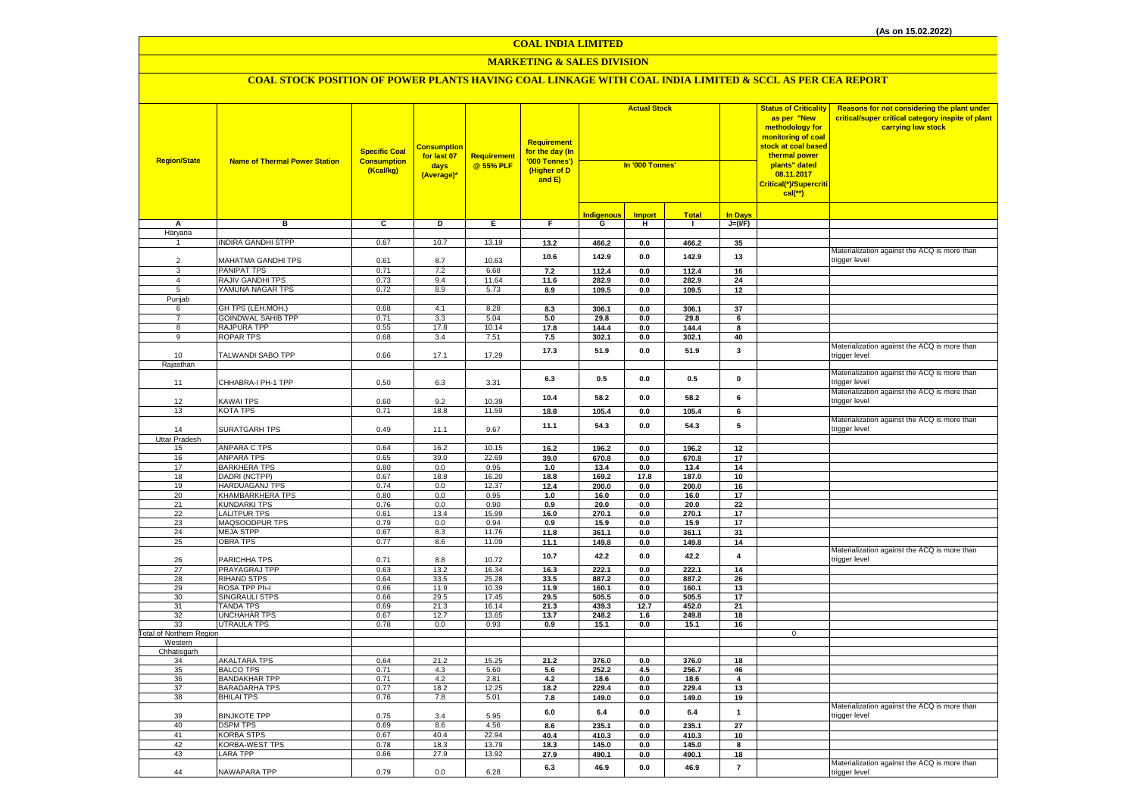#### **MARKETING & SALES DIVISION**

| <b>Region/State</b>             | <b>Name of Thermal Power Station</b>   | <b>Specific Coal</b><br><b>Consumption</b><br>(Kcal/kg) | <mark>Consumption</mark><br>for last 07<br>days<br>(Average)* | <b>Requirement</b><br>@ 55% PLF | Requirement<br><mark>for the day (In</mark><br>'000 Tonnes')<br>(Higher of D<br>and E) | <b>Actual Stock</b><br>In '000 Tonnes' |                 |                | <b>Status of Criticality</b><br>as per "New<br>methodology for<br>monitoring of coal<br><mark>stock at coal based</mark><br>thermal power<br>plants" dated<br>08.11.2017<br>Critical(*)/Supercriti<br>$cal$ (**) | Reasons for not considering the plant under<br>critical/super critical category inspite of plant<br>carrying low stock |                                                               |
|---------------------------------|----------------------------------------|---------------------------------------------------------|---------------------------------------------------------------|---------------------------------|----------------------------------------------------------------------------------------|----------------------------------------|-----------------|----------------|------------------------------------------------------------------------------------------------------------------------------------------------------------------------------------------------------------------|------------------------------------------------------------------------------------------------------------------------|---------------------------------------------------------------|
|                                 |                                        |                                                         |                                                               |                                 |                                                                                        | <b>Indigenous</b>                      | <b>Import</b>   | <b>Total</b>   | <b>In Days</b>                                                                                                                                                                                                   |                                                                                                                        |                                                               |
| A                               | в                                      | C                                                       | D                                                             | Е.                              | F.                                                                                     | G                                      | н               | $\mathbf{I}$   | $J=(VF)$                                                                                                                                                                                                         |                                                                                                                        |                                                               |
| Haryana                         |                                        |                                                         |                                                               |                                 |                                                                                        |                                        |                 |                |                                                                                                                                                                                                                  |                                                                                                                        |                                                               |
|                                 | <b>INDIRA GANDHI STPP</b>              | 0.67                                                    | 10.7                                                          | 13.19                           | 13.2                                                                                   | 466.2                                  | 0.0             | 466.2          | 35                                                                                                                                                                                                               |                                                                                                                        |                                                               |
|                                 |                                        |                                                         |                                                               |                                 | 10.6                                                                                   | 142.9                                  | $0.0\,$         | 142.9          | 13                                                                                                                                                                                                               |                                                                                                                        | Materialization against the ACQ is more than                  |
| $\mathcal{P}$<br>3              | MAHATMA GANDHI TPS                     | 0.61                                                    | 8.7                                                           | 10.63                           |                                                                                        | 112.4                                  | 0.0             | 112.4          | 16                                                                                                                                                                                                               |                                                                                                                        | trigger level                                                 |
| $\overline{4}$                  | PANIPAT TPS<br>RAJIV GANDHI TPS        | 0.71<br>0.73                                            | 7.2<br>9.4                                                    | 6.68<br>11.64                   | 7.2<br>11.6                                                                            | 282.9                                  | 0.0             | 282.9          | 24                                                                                                                                                                                                               |                                                                                                                        |                                                               |
| 5                               | YAMUNA NAGAR TPS                       | 0.72                                                    | 8.9                                                           | 5.73                            | 8.9                                                                                    | 109.5                                  | 0.0             | 109.5          | 12                                                                                                                                                                                                               |                                                                                                                        |                                                               |
| Punjab                          |                                        |                                                         |                                                               |                                 |                                                                                        |                                        |                 |                |                                                                                                                                                                                                                  |                                                                                                                        |                                                               |
| 6                               | GH TPS (LEH.MOH.)                      | 0.68                                                    | 4.1                                                           | 8.28                            | 8.3                                                                                    | 306.1                                  | 0.0             | 306.1          | 37                                                                                                                                                                                                               |                                                                                                                        |                                                               |
| $\overline{7}$                  | <b>GOINDWAL SAHIB TPP</b>              | 0.71                                                    | 3.3                                                           | 5.04                            | 5.0                                                                                    | 29.8                                   | 0.0             | 29.8           | 6                                                                                                                                                                                                                |                                                                                                                        |                                                               |
| 8                               | RAJPURA TPP                            | 0.55                                                    | 17.8                                                          | 10.14                           | 17.8                                                                                   | 144.4                                  | 0.0             | 144.4          | 8                                                                                                                                                                                                                |                                                                                                                        |                                                               |
| 9                               | <b>ROPAR TPS</b>                       | 0.68                                                    | 3.4                                                           | 7.51                            | 7.5                                                                                    | 302.1                                  | 0.0             | 302.1          | 40                                                                                                                                                                                                               |                                                                                                                        |                                                               |
| 10                              | TALWANDI SABO TPP                      | 0.66                                                    | 17.1                                                          | 17.29                           | 17.3                                                                                   | 51.9                                   | 0.0             | 51.9           | $\mathbf{3}$                                                                                                                                                                                                     |                                                                                                                        | Materialization against the ACQ is more than<br>trigger level |
| Rajasthan                       |                                        |                                                         |                                                               |                                 |                                                                                        |                                        |                 |                |                                                                                                                                                                                                                  |                                                                                                                        |                                                               |
| 11                              | CHHABRA-I PH-1 TPP                     | 0.50                                                    | 6.3                                                           | 3.31                            | 6.3                                                                                    | 0.5                                    | 0.0             | 0.5            | $\mathbf 0$                                                                                                                                                                                                      |                                                                                                                        | Materialization against the ACQ is more than<br>trigger level |
| 12                              | KAWAI TPS                              | 0.60                                                    | 9.2                                                           | 10.39                           | 10.4                                                                                   | 58.2                                   | 0.0             | 58.2           | 6                                                                                                                                                                                                                |                                                                                                                        | Materialization against the ACQ is more than<br>trigger level |
| 13                              | <b>KOTA TPS</b>                        | 0.71                                                    | 18.8                                                          | 11.59                           | 18.8                                                                                   | 105.4                                  | 0.0             | 105.4          | 6                                                                                                                                                                                                                |                                                                                                                        |                                                               |
|                                 |                                        |                                                         |                                                               |                                 |                                                                                        |                                        |                 |                |                                                                                                                                                                                                                  |                                                                                                                        | Materialization against the ACQ is more than                  |
| 14                              | <b>SURATGARH TPS</b>                   | 0.49                                                    | 11.1                                                          | 9.67                            | 11.1                                                                                   | 54.3                                   | 0.0             | 54.3           | 5                                                                                                                                                                                                                |                                                                                                                        | trigger level                                                 |
| Uttar Pradesh                   |                                        |                                                         |                                                               |                                 |                                                                                        |                                        |                 |                |                                                                                                                                                                                                                  |                                                                                                                        |                                                               |
| 15                              | ANPARA C TPS                           | 0.64                                                    | 16.2                                                          | 10.15                           | 16.2                                                                                   | 196.2                                  | 0.0             | 196.2          | 12                                                                                                                                                                                                               |                                                                                                                        |                                                               |
| 16                              | ANPARA TPS                             | 0.65                                                    | 39.0                                                          | 22.69                           | 39.0                                                                                   | 670.8                                  | 0.0             | 670.8          | 17                                                                                                                                                                                                               |                                                                                                                        |                                                               |
| 17                              | <b>BARKHERA TPS</b>                    | 0.80                                                    | 0.0                                                           | 0.95                            | 1.0                                                                                    | 13.4                                   | 0.0             | 13.4           | 14                                                                                                                                                                                                               |                                                                                                                        |                                                               |
| 18<br>19                        | DADRI (NCTPP)<br><b>HARDUAGANJ TPS</b> | 0.67<br>0.74                                            | 18.8<br>0.0                                                   | 16.20<br>12.37                  | 18.8<br>12.4                                                                           | 169.2<br>200.0                         | 17.8<br>$0.0\,$ | 187.0<br>200.0 | 10<br>16                                                                                                                                                                                                         |                                                                                                                        |                                                               |
| 20                              | KHAMBARKHERA TPS                       | 0.80                                                    | 0.0                                                           | 0.95                            | 1.0                                                                                    | 16.0                                   | 0.0             | 16.0           | 17                                                                                                                                                                                                               |                                                                                                                        |                                                               |
| 21                              | <b>KUNDARKI TPS</b>                    | 0.76                                                    | 0.0                                                           | 0.90                            | 0.9                                                                                    | 20.0                                   | $0.0\,$         | 20.0           | 22                                                                                                                                                                                                               |                                                                                                                        |                                                               |
| 22                              | <b>LALITPUR TPS</b>                    | 0.61                                                    | 13.4                                                          | 15.99                           | 16.0                                                                                   | 270.1                                  | 0.0             | 270.1          | 17                                                                                                                                                                                                               |                                                                                                                        |                                                               |
| 23                              | MAQSOODPUR TPS                         | 0.79                                                    | 0.0                                                           | 0.94                            | 0.9                                                                                    | 15.9                                   | 0.0             | 15.9           | 17                                                                                                                                                                                                               |                                                                                                                        |                                                               |
| 24                              | <b>MEJA STPP</b>                       | 0.67                                                    | 8.3                                                           | 11.76                           | 11.8                                                                                   | 361.1                                  | 0.0             | 361.1          | 31                                                                                                                                                                                                               |                                                                                                                        |                                                               |
| 25                              | <b>OBRA TPS</b>                        | 0.77                                                    | 8.6                                                           | 11.09                           | 11.1                                                                                   | 149.8                                  | 0.0             | 149.8          | 14                                                                                                                                                                                                               |                                                                                                                        |                                                               |
| 26                              | PARICHHA TPS                           | 0.71                                                    | 8.8                                                           | 10.72                           | 10.7                                                                                   | 42.2                                   | 0.0             | 42.2           | 4                                                                                                                                                                                                                |                                                                                                                        | Materialization against the ACQ is more than<br>trigger level |
| 27                              | PRAYAGRAJ TPP                          | 0.63                                                    | 13.2                                                          | 16.34                           | $16.3$                                                                                 | 222.1                                  | 0.0             | 222.1          | 14                                                                                                                                                                                                               |                                                                                                                        |                                                               |
| 28                              | <b>RIHAND STPS</b>                     | 0.64                                                    | 33.5                                                          | 25.28                           | 33.5                                                                                   | 887.2                                  | 0.0             | 887.2          | 26                                                                                                                                                                                                               |                                                                                                                        |                                                               |
| 29<br>30                        | ROSA TPP Ph-I<br><b>SINGRAULI STPS</b> | 0.66<br>0.66                                            | 11.9<br>29.5                                                  | 10.39<br>17.45                  | 11.9<br>29.5                                                                           | 160.1                                  | 0.0<br>0.0      | 160.1          | 13<br>17                                                                                                                                                                                                         |                                                                                                                        |                                                               |
| -31                             | <b>TANDA TPS</b>                       | 0.69                                                    | 21.3                                                          | 16.14                           | 21.3                                                                                   | 505.5<br>439.3                         | 12.7            | 505.5<br>452.0 | 21                                                                                                                                                                                                               |                                                                                                                        |                                                               |
| 32                              | <b>UNCHAHAR TPS</b>                    | 0.67                                                    | 12.7                                                          | 13.65                           | 13.7                                                                                   | 248.2                                  | 1.6             | 249.8          | 18                                                                                                                                                                                                               |                                                                                                                        |                                                               |
| 33                              | <b>UTRAULA TPS</b>                     | 0.78                                                    | 0.0                                                           | 0.93                            | 0.9                                                                                    | 15.1                                   | 0.0             | 15.1           | 16                                                                                                                                                                                                               |                                                                                                                        |                                                               |
| <b>Fotal of Northern Region</b> |                                        |                                                         |                                                               |                                 |                                                                                        |                                        |                 |                |                                                                                                                                                                                                                  | $\mathbf 0$                                                                                                            |                                                               |
| Western                         |                                        |                                                         |                                                               |                                 |                                                                                        |                                        |                 |                |                                                                                                                                                                                                                  |                                                                                                                        |                                                               |
| Chhatisgarh<br>34               | <b>AKALTARA TPS</b>                    | 0.64                                                    | 21.2                                                          | 15.25                           | 21.2                                                                                   | 376.0                                  | 0.0             | 376.0          | 18                                                                                                                                                                                                               |                                                                                                                        |                                                               |
| 35                              | <b>BALCO TPS</b>                       | 0.71                                                    | 4.3                                                           | 5.60                            | 5.6                                                                                    | 252.2                                  | 4.5             | 256.7          | 46                                                                                                                                                                                                               |                                                                                                                        |                                                               |
| 36                              | <b>BANDAKHAR TPP</b>                   | 0.71                                                    | 4.2                                                           | 2.81                            | 4.2                                                                                    | 18.6                                   | 0.0             | 18.6           | 4                                                                                                                                                                                                                |                                                                                                                        |                                                               |
| 37                              | <b>BARADARHA TPS</b>                   | 0.77                                                    | 18.2                                                          | 12.25                           | 18.2                                                                                   | 229.4                                  | 0.0             | 229.4          | 13                                                                                                                                                                                                               |                                                                                                                        |                                                               |
| 38                              | <b>BHILAI TPS</b>                      | 0.76                                                    | 7.8                                                           | 5.01                            | 7.8                                                                                    | 149.0                                  | 0.0             | 149.0          | 19                                                                                                                                                                                                               |                                                                                                                        |                                                               |
| 39                              | <b>BINJKOTE TPP</b>                    | 0.75                                                    | 3.4                                                           | 5.95                            | 6.0                                                                                    | 6.4                                    | 0.0             | 6.4            | $\mathbf{1}$                                                                                                                                                                                                     |                                                                                                                        | Materialization against the ACQ is more than<br>trigger level |
| 40                              | <b>DSPM TPS</b>                        | 0.69                                                    | 8.6                                                           | 4.56                            | 8.6                                                                                    | 235.1                                  | $0.0\,$         | 235.1          | 27                                                                                                                                                                                                               |                                                                                                                        |                                                               |
| 41                              | <b>KORBA STPS</b>                      | 0.67                                                    | 40.4                                                          | 22.94                           | 40.4                                                                                   | 410.3                                  | 0.0             | 410.3          | 10                                                                                                                                                                                                               |                                                                                                                        |                                                               |
| 42                              | <b>KORBA-WEST TPS</b>                  | 0.78                                                    | 18.3                                                          | 13.79                           | 18.3                                                                                   | 145.0                                  | 0.0             | 145.0          | 8                                                                                                                                                                                                                |                                                                                                                        |                                                               |
| 43                              | <b>LARA TPP</b>                        | 0.66                                                    | 27.9                                                          | 13.92                           | 27.9                                                                                   | 490.1                                  | 0.0             | 490.1          | 18                                                                                                                                                                                                               |                                                                                                                        |                                                               |
| 44                              | NAWAPARA TPP                           | 0.79                                                    | 0.0                                                           | 6.28                            | 6.3                                                                                    | 46.9                                   | 0.0             | 46.9           | $\overline{7}$                                                                                                                                                                                                   |                                                                                                                        | Materialization against the ACQ is more than<br>trigger level |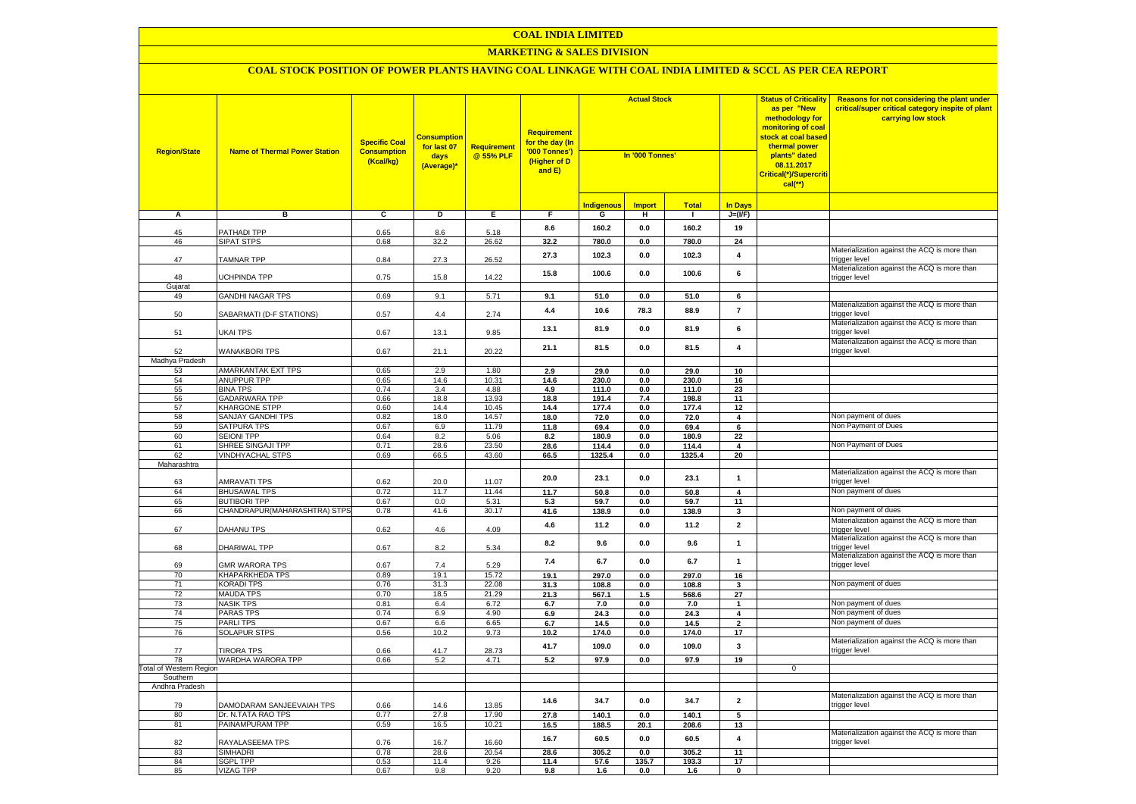#### **MARKETING & SALES DIVISION**

| <b>Region/State</b>     | <b>Name of Thermal Power Station</b>    | <b>Specific Coal</b><br><b>Consumption</b><br>(Kcal/kg) | <b>Consumption</b><br>for last 07<br>days<br>(Average)* | <b>Requirement</b><br>@ 55% PLF | <b>Requirement</b><br>for the day (In<br>'000 Tonnes')<br>(Higher of D<br>and E) | <b>Actual Stock</b><br>In '000 Tonnes' |               |              |                         | <b>Status of Criticality</b><br>as per "New<br>methodology for<br><mark>monitoring of coal</mark><br><mark>stock at coal based</mark><br>thermal power<br>plants" dated<br>08.11.2017<br>Critical(*)/Supercriti<br>$cal$ (**) | Reasons for not considering the plant under<br>critical/super critical category inspite of plant<br>carrying low stock |
|-------------------------|-----------------------------------------|---------------------------------------------------------|---------------------------------------------------------|---------------------------------|----------------------------------------------------------------------------------|----------------------------------------|---------------|--------------|-------------------------|-------------------------------------------------------------------------------------------------------------------------------------------------------------------------------------------------------------------------------|------------------------------------------------------------------------------------------------------------------------|
|                         |                                         |                                                         |                                                         |                                 |                                                                                  | <b>Indigenous</b>                      | <b>Import</b> | <b>Total</b> | <b>In Days</b>          |                                                                                                                                                                                                                               |                                                                                                                        |
| A                       | в                                       | ट                                                       | Þ                                                       | Е.                              | F.                                                                               | G                                      | н             | $\mathbf{I}$ | $J=(VF)$                |                                                                                                                                                                                                                               |                                                                                                                        |
|                         |                                         |                                                         |                                                         |                                 | 8.6                                                                              | 160.2                                  | 0.0           | 160.2        | 19                      |                                                                                                                                                                                                                               |                                                                                                                        |
| 45<br>46                | <b>PATHADI TPP</b><br><b>SIPAT STPS</b> | 0.65<br>0.68                                            | 8.6<br>32.2                                             | 5.18<br>26.62                   | 32.2                                                                             | 780.0                                  | 0.0           | 780.0        | 24                      |                                                                                                                                                                                                                               |                                                                                                                        |
|                         |                                         |                                                         |                                                         |                                 | 27.3                                                                             | 102.3                                  | 0.0           | 102.3        | $\overline{4}$          |                                                                                                                                                                                                                               | Materialization against the ACQ is more than                                                                           |
| 47                      | <b>TAMNAR TPP</b>                       | 0.84                                                    | 27.3                                                    | 26.52                           | 15.8                                                                             | 100.6                                  | 0.0           | 100.6        | 6                       |                                                                                                                                                                                                                               | trigger level<br>Materialization against the ACQ is more than                                                          |
| 48<br>Gujarat           | <b>JCHPINDA TPP</b>                     | 0.75                                                    | 15.8                                                    | 14.22                           |                                                                                  |                                        |               |              |                         |                                                                                                                                                                                                                               | trigger level                                                                                                          |
| 49                      | <b>GANDHI NAGAR TPS</b>                 | 0.69                                                    | 9.1                                                     | 5.71                            | 9.1                                                                              | 51.0                                   | 0.0           | 51.0         | 6                       |                                                                                                                                                                                                                               |                                                                                                                        |
|                         |                                         |                                                         |                                                         |                                 |                                                                                  |                                        |               |              |                         |                                                                                                                                                                                                                               | Materialization against the ACQ is more than                                                                           |
| 50                      | SABARMATI (D-F STATIONS)                | 0.57                                                    | 4.4                                                     | 2.74                            | 4.4                                                                              | 10.6                                   | 78.3          | 88.9         | $\overline{7}$          |                                                                                                                                                                                                                               | trigger level                                                                                                          |
| 51                      | UKAI TPS                                | 0.67                                                    | 13.1                                                    | 9.85                            | 13.1                                                                             | 81.9                                   | 0.0           | 81.9         | 6                       |                                                                                                                                                                                                                               | Materialization against the ACQ is more than<br>rigger level                                                           |
| 52                      | <b>WANAKBORI TPS</b>                    | 0.67                                                    | 21.1                                                    | 20.22                           | 21.1                                                                             | 81.5                                   | 0.0           | 81.5         | $\overline{\mathbf{4}}$ |                                                                                                                                                                                                                               | Materialization against the ACQ is more than<br>trigger level                                                          |
| Madhya Pradesh          |                                         |                                                         |                                                         |                                 |                                                                                  |                                        |               |              |                         |                                                                                                                                                                                                                               |                                                                                                                        |
| 53                      | AMARKANTAK EXT TPS                      | 0.65                                                    | 2.9                                                     | 1.80                            | 2.9                                                                              | 29.0                                   | 0.0           | 29.0         | 10                      |                                                                                                                                                                                                                               |                                                                                                                        |
| 54                      | ANUPPUR TPP                             | 0.65                                                    | 14.6                                                    | 10.31                           | 14.6                                                                             | 230.0                                  | 0.0           | 230.0        | 16                      |                                                                                                                                                                                                                               |                                                                                                                        |
| 55                      | <b>BINA TPS</b>                         | 0.74                                                    | 3.4                                                     | 4.88                            | 4.9                                                                              | 111.0                                  | 0.0           | 111.0        | 23                      |                                                                                                                                                                                                                               |                                                                                                                        |
| 56                      | <b>GADARWARA TPP</b>                    | 0.66                                                    | 18.8                                                    | 13.93                           | 18.8                                                                             | 191.4                                  | 7.4           | 198.8        | 11                      |                                                                                                                                                                                                                               |                                                                                                                        |
| 57                      | KHARGONE STPP                           | 0.60                                                    | 14.4                                                    | 10.45                           | 14.4                                                                             | 177.4                                  | 0.0           | 177.4        | 12                      |                                                                                                                                                                                                                               |                                                                                                                        |
| 58                      | SANJAY GANDHI TPS                       | 0.82                                                    | 18.0                                                    | 14.57                           | 18.0                                                                             | 72.0                                   | 0.0           | 72.0         | $\overline{4}$          |                                                                                                                                                                                                                               | Non payment of dues                                                                                                    |
| 59                      | <b>SATPURA TPS</b>                      | 0.67                                                    | 6.9                                                     | 11.79                           | 11.8                                                                             | 69.4                                   | 0.0           | 69.4         | 6                       |                                                                                                                                                                                                                               | Non Payment of Dues                                                                                                    |
| 60                      | <b>SEIONI TPP</b>                       | 0.64                                                    | 8.2                                                     | 5.06                            | 8.2                                                                              | 180.9                                  | 0.0           | 180.9        | 22                      |                                                                                                                                                                                                                               |                                                                                                                        |
| 61                      | SHREE SINGAJI TPP                       | 0.71                                                    | 28.6                                                    | 23.50                           | 28.6                                                                             | 114.4                                  | 0.0           | 114.4        | $\overline{\mathbf{4}}$ |                                                                                                                                                                                                                               | Non Payment of Dues                                                                                                    |
| 62                      | <b>VINDHYACHAL STPS</b>                 | 0.69                                                    | 66.5                                                    | 43.60                           | 66.5                                                                             | 1325.4                                 | 0.0           | 1325.4       | 20                      |                                                                                                                                                                                                                               |                                                                                                                        |
| Maharashtra             |                                         |                                                         |                                                         |                                 |                                                                                  |                                        |               |              |                         |                                                                                                                                                                                                                               | Materialization against the ACQ is more than                                                                           |
| 63                      | AMRAVATI TPS                            | 0.62                                                    | 20.0                                                    | 11.07                           | 20.0                                                                             | 23.1                                   | 0.0           | 23.1         | $\mathbf{1}$            |                                                                                                                                                                                                                               | trigger level                                                                                                          |
| 64                      | <b>BHUSAWAL TPS</b>                     | 0.72                                                    | 11.7                                                    | 11.44                           | 11.7                                                                             | 50.8                                   | 0.0           | 50.8         | 4                       |                                                                                                                                                                                                                               | Non payment of dues                                                                                                    |
| 65                      | <b>BUTIBORI TPP</b>                     | 0.67                                                    | 0.0                                                     | 5.31                            | 5.3                                                                              | 59.7                                   | 0.0           | 59.7         | 11                      |                                                                                                                                                                                                                               |                                                                                                                        |
| 66                      | CHANDRAPUR(MAHARASHTRA) STPS            | 0.78                                                    | 41.6                                                    | 30.17                           | 41.6                                                                             | 138.9                                  | $0.0\,$       | 138.9        | $\mathbf{3}$            |                                                                                                                                                                                                                               | Non payment of dues                                                                                                    |
| 67                      | DAHANU TPS                              | 0.62                                                    | 4.6                                                     | 4.09                            | 4.6                                                                              | 11.2                                   | 0.0           | 11.2         | $\mathbf 2$             |                                                                                                                                                                                                                               | Materialization against the ACQ is more than<br>rigger level                                                           |
| 68                      | DHARIWAL TPP                            | 0.67                                                    | 8.2                                                     | 5.34                            | 8.2                                                                              | 9.6                                    | 0.0           | 9.6          | $\mathbf{1}$            |                                                                                                                                                                                                                               | Materialization against the ACQ is more than                                                                           |
|                         |                                         |                                                         |                                                         |                                 |                                                                                  |                                        |               |              |                         |                                                                                                                                                                                                                               | rigger level<br>Materialization against the ACQ is more than                                                           |
| 69<br>70                | GMR WARORA TPS<br>KHAPARKHEDA TPS       | 0.67<br>0.89                                            | 7.4<br>19.1                                             | 5.29<br>15.72                   | 7.4<br>19.1                                                                      | 6.7<br>297.0                           | 0.0<br>0.0    | 6.7<br>297.0 | $\mathbf{1}$<br>16      |                                                                                                                                                                                                                               | trigger level                                                                                                          |
| 71                      | <b>KORADI TPS</b>                       | 0.76                                                    | 31.3                                                    | 22.08                           | 31.3                                                                             | 108.8                                  | 0.0           | 108.8        | 3                       |                                                                                                                                                                                                                               | Non payment of dues                                                                                                    |
| 72                      | <b>MAUDA TPS</b>                        | 0.70                                                    | 18.5                                                    | 21.29                           | 21.3                                                                             | 567.1                                  | 1.5           | 568.6        | $\overline{27}$         |                                                                                                                                                                                                                               |                                                                                                                        |
| 73                      | <b>NASIK TPS</b>                        | 0.81                                                    | 6.4                                                     | 6.72                            | 6.7                                                                              | 7.0                                    | $0.0\,$       | 7.0          | $\mathbf{1}$            |                                                                                                                                                                                                                               | Non payment of dues                                                                                                    |
| 74                      | <b>PARAS TPS</b>                        | 0.74                                                    | 6.9                                                     | 4.90                            | 6.9                                                                              | 24.3                                   | 0.0           | 24.3         | 4                       |                                                                                                                                                                                                                               | Non payment of dues                                                                                                    |
| 75                      | PARLI TPS                               | 0.67                                                    | 6.6                                                     | 6.65                            | 6.7                                                                              | 14.5                                   | 0.0           | 14.5         | $\overline{2}$          |                                                                                                                                                                                                                               | Non payment of dues                                                                                                    |
| 76                      | <b>SOLAPUR STPS</b>                     | 0.56                                                    | 10.2                                                    | 9.73                            | 10.2                                                                             | 174.0                                  | 0.0           | 174.0        | 17                      |                                                                                                                                                                                                                               |                                                                                                                        |
|                         |                                         |                                                         |                                                         |                                 | 41.7                                                                             | 109.0                                  | $0.0\,$       | 109.0        | $\overline{\mathbf{3}}$ |                                                                                                                                                                                                                               | Materialization against the ACQ is more than                                                                           |
| 77<br>78                | <b>TIRORA TPS</b><br>WARDHA WARORA TPP  | 0.66<br>0.66                                            | 41.7<br>5.2                                             | 28.73<br>4.71                   | 5.2                                                                              | 97.9                                   | 0.0           | 97.9         | 19                      |                                                                                                                                                                                                                               | trigger level                                                                                                          |
| Total of Western Region |                                         |                                                         |                                                         |                                 |                                                                                  |                                        |               |              |                         | $\overline{0}$                                                                                                                                                                                                                |                                                                                                                        |
| Southern                |                                         |                                                         |                                                         |                                 |                                                                                  |                                        |               |              |                         |                                                                                                                                                                                                                               |                                                                                                                        |
| Andhra Pradesh          |                                         |                                                         |                                                         |                                 |                                                                                  |                                        |               |              |                         |                                                                                                                                                                                                                               |                                                                                                                        |
| 79                      | DAMODARAM SANJEEVAIAH TPS               | 0.66                                                    | 14.6                                                    | 13.85                           | 14.6                                                                             | 34.7                                   | 0.0           | 34.7         | $\overline{2}$          |                                                                                                                                                                                                                               | Materialization against the ACQ is more than<br>trigger level                                                          |
| 80                      | Dr. N.TATA RAO TPS                      | 0.77                                                    | 27.8                                                    | 17.90                           | 27.8                                                                             | 140.1                                  | 0.0           | 140.1        | 5                       |                                                                                                                                                                                                                               |                                                                                                                        |
| 81                      | PAINAMPURAM TPP                         | 0.59                                                    | 16.5                                                    | 10.21                           | 16.5                                                                             | 188.5                                  | 20.1          | 208.6        | 13                      |                                                                                                                                                                                                                               |                                                                                                                        |
| 82                      | RAYALASEEMA TPS                         | 0.76                                                    | 16.7                                                    | 16.60                           | 16.7                                                                             | 60.5                                   | $0.0\,$       | 60.5         | $\pmb{4}$               |                                                                                                                                                                                                                               | Materialization against the ACQ is more than<br>trigger level                                                          |
| 83                      | <b>SIMHADRI</b>                         | 0.78                                                    | 28.6                                                    | 20.54                           | 28.6                                                                             | 305.2                                  | 0.0           | 305.2        | $\overline{11}$         |                                                                                                                                                                                                                               |                                                                                                                        |
| 84                      | <b>SGPL TPP</b>                         | 0.53                                                    | 11.4                                                    | 9.26                            | 11.4                                                                             | 57.6                                   | 135.7         | 193.3        | 17                      |                                                                                                                                                                                                                               |                                                                                                                        |
| 85                      | <b>VIZAG TPP</b>                        | 0.67                                                    | 9.8                                                     | 9.20                            | 9.8                                                                              | 1.6                                    | 0.0           | 1.6          | $\overline{\mathbf{0}}$ |                                                                                                                                                                                                                               |                                                                                                                        |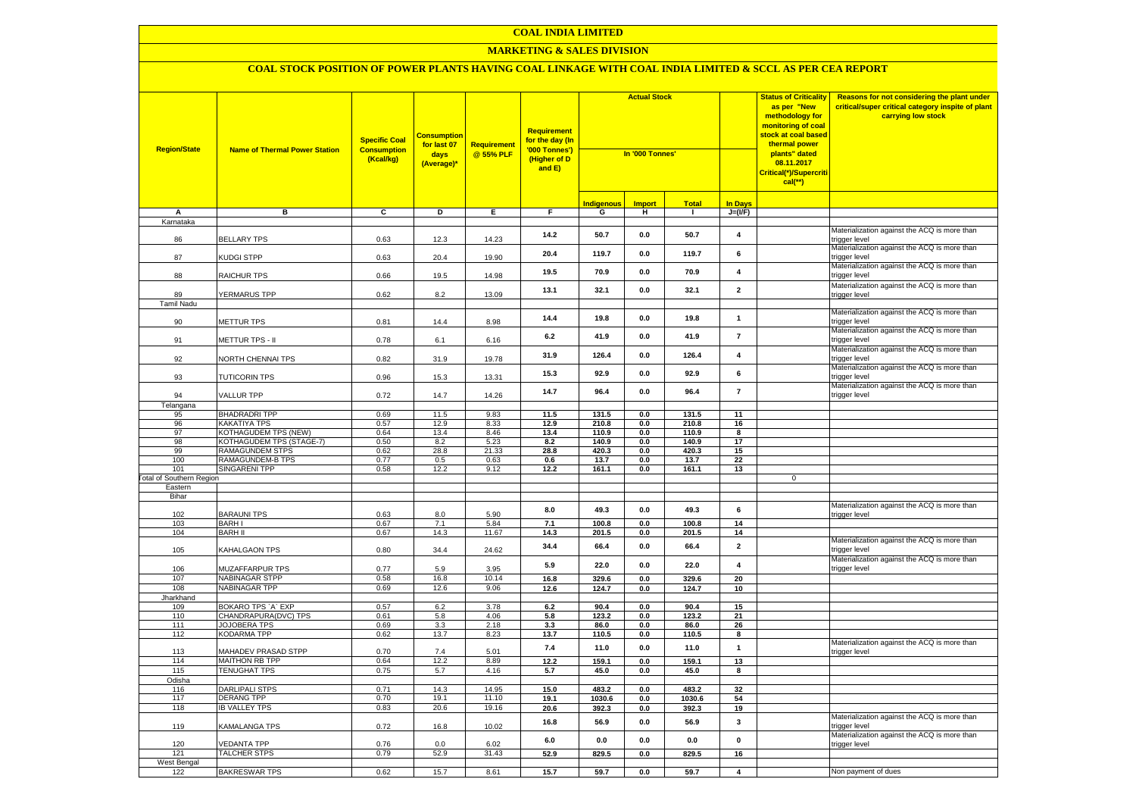#### **MARKETING & SALES DIVISION**

| <b>Region/State</b>             | <b>Name of Thermal Power Station</b>             | <b>Specific Coal</b><br><b>Consumption</b><br>(Kcal/kg) | <b>Consumption</b><br>for last 07<br>days<br>(Average)* | <b>Requirement</b><br>@ 55% PLF | Requirement<br>for the day (In<br>'000 Tonnes')<br>(Higher of D<br>and E) | <b>Actual Stock</b><br>In '000 Tonnes' |                |               |                         | <b>Status of Criticality</b><br>as per "New<br>methodology for<br>monitoring of coal<br>stock at coal based<br>thermal power<br>plants" dated<br>08.11.2017<br>Critical(*)/Supercriti<br>$cal$ (**) | Reasons for not considering the plant under<br>critical/super critical category inspite of plant<br>carrying low stock |
|---------------------------------|--------------------------------------------------|---------------------------------------------------------|---------------------------------------------------------|---------------------------------|---------------------------------------------------------------------------|----------------------------------------|----------------|---------------|-------------------------|-----------------------------------------------------------------------------------------------------------------------------------------------------------------------------------------------------|------------------------------------------------------------------------------------------------------------------------|
|                                 |                                                  |                                                         |                                                         |                                 |                                                                           | <b>Indigenous</b>                      | <b>Import</b>  | <b>Total</b>  | <b>In Days</b>          |                                                                                                                                                                                                     |                                                                                                                        |
| A                               | в                                                | $\overline{c}$                                          | D                                                       | Е.                              | F.                                                                        | G                                      | H              | $\mathbf{I}$  | $J=(VF)$                |                                                                                                                                                                                                     |                                                                                                                        |
| Karnataka                       |                                                  |                                                         |                                                         |                                 |                                                                           |                                        |                |               |                         |                                                                                                                                                                                                     |                                                                                                                        |
| 86                              | <b>BELLARY TPS</b>                               | 0.63                                                    | 12.3                                                    | 14.23                           | 14.2                                                                      | 50.7                                   | 0.0            | 50.7          | $\overline{\mathbf{4}}$ |                                                                                                                                                                                                     | Materialization against the ACQ is more than<br>trigger level<br>Materialization against the ACQ is more than          |
| 87                              | KUDGI STPP                                       | 0.63                                                    | 20.4                                                    | 19.90                           | 20.4                                                                      | 119.7                                  | $0.0\,$        | 119.7         | 6                       |                                                                                                                                                                                                     | trigger level<br>Materialization against the ACQ is more than                                                          |
| 88                              | RAICHUR TPS                                      | 0.66                                                    | 19.5                                                    | 14.98                           | 19.5                                                                      | 70.9                                   | 0.0            | 70.9          | $\overline{\mathbf{4}}$ |                                                                                                                                                                                                     | trigger level                                                                                                          |
| 89                              | <b>YERMARUS TPP</b>                              | 0.62                                                    | 8.2                                                     | 13.09                           | 13.1                                                                      | 32.1                                   | 0.0            | 32.1          | $\mathbf{2}$            |                                                                                                                                                                                                     | Materialization against the ACQ is more than<br>trigger level                                                          |
| <b>Tamil Nadu</b>               |                                                  |                                                         |                                                         |                                 |                                                                           |                                        |                |               |                         |                                                                                                                                                                                                     | Materialization against the ACQ is more than                                                                           |
| 90                              | METTUR TPS                                       | 0.81                                                    | 14.4                                                    | 8.98                            | 14.4                                                                      | 19.8                                   | 0.0            | 19.8          | $\mathbf{1}$            |                                                                                                                                                                                                     | trigger level<br>Materialization against the ACQ is more than                                                          |
| 91                              | <b>METTUR TPS - II</b>                           | 0.78                                                    | 6.1                                                     | 6.16                            | 6.2                                                                       | 41.9                                   | 0.0            | 41.9          | $\overline{7}$          |                                                                                                                                                                                                     | trigger level                                                                                                          |
| 92                              | <b>VORTH CHENNAI TPS</b>                         | 0.82                                                    | 31.9                                                    | 19.78                           | 31.9                                                                      | 126.4                                  | 0.0            | 126.4         | $\overline{\mathbf{4}}$ |                                                                                                                                                                                                     | Materialization against the ACQ is more than<br>trigger level                                                          |
| 93                              | TUTICORIN TPS                                    | 0.96                                                    | 15.3                                                    | 13.31                           | 15.3                                                                      | 92.9                                   | 0.0            | 92.9          | 6                       |                                                                                                                                                                                                     | Materialization against the ACQ is more than<br>trigger level                                                          |
| 94                              | <b>VALLUR TPP</b>                                | 0.72                                                    | 14.7                                                    | 14.26                           | 14.7                                                                      | 96.4                                   | 0.0            | 96.4          | $\overline{7}$          |                                                                                                                                                                                                     | Materialization against the ACQ is more than<br>trigger level                                                          |
| Telangana                       |                                                  |                                                         |                                                         |                                 |                                                                           |                                        |                |               |                         |                                                                                                                                                                                                     |                                                                                                                        |
| 95                              | <b>BHADRADRI TPP</b>                             | 0.69                                                    | 11.5                                                    | 9.83                            | 11.5                                                                      | 131.5                                  | 0.0            | 131.5         | 11                      |                                                                                                                                                                                                     |                                                                                                                        |
| 96                              | KAKATIYA TPS                                     | 0.57                                                    | 12.9                                                    | 8.33                            | 12.9                                                                      | 210.8                                  | 0.0            | 210.8         | 16                      |                                                                                                                                                                                                     |                                                                                                                        |
| 97<br>98                        | KOTHAGUDEM TPS (NEW)<br>KOTHAGUDEM TPS (STAGE-7) | 0.64<br>0.50                                            | 13.4<br>8.2                                             | 8.46<br>5.23                    | 13.4                                                                      | 110.9                                  | 0.0<br>0.0     | 110.9         | 8                       |                                                                                                                                                                                                     |                                                                                                                        |
| 99                              | RAMAGUNDEM STPS                                  | 0.62                                                    | 28.8                                                    | 21.33                           | 8.2<br>28.8                                                               | 140.9<br>420.3                         | 0.0            | 140.9         | 17<br>15                |                                                                                                                                                                                                     |                                                                                                                        |
| 100                             | RAMAGUNDEM-B TPS                                 | 0.77                                                    | 0.5                                                     | 0.63                            | 0.6                                                                       | 13.7                                   | 0.0            | 420.3<br>13.7 | 22                      |                                                                                                                                                                                                     |                                                                                                                        |
| 101                             | <b>SINGARENI TPP</b>                             | 0.58                                                    | 12.2                                                    | 9.12                            | 12.2                                                                      | 161.1                                  | 0.0            | 161.1         | 13                      |                                                                                                                                                                                                     |                                                                                                                        |
| <b>Total of Southern Region</b> |                                                  |                                                         |                                                         |                                 |                                                                           |                                        |                |               |                         | 0                                                                                                                                                                                                   |                                                                                                                        |
| Eastern                         |                                                  |                                                         |                                                         |                                 |                                                                           |                                        |                |               |                         |                                                                                                                                                                                                     |                                                                                                                        |
| Bihar                           |                                                  |                                                         |                                                         |                                 |                                                                           |                                        |                |               |                         |                                                                                                                                                                                                     |                                                                                                                        |
|                                 |                                                  |                                                         |                                                         |                                 | 8.0                                                                       | 49.3                                   | 0.0            | 49.3          | 6                       |                                                                                                                                                                                                     | Materialization against the ACQ is more than                                                                           |
| 102                             | <b>BARAUNI TPS</b>                               | 0.63                                                    | 8.0                                                     | 5.90                            |                                                                           |                                        |                |               |                         |                                                                                                                                                                                                     | trigger level                                                                                                          |
| 103                             | <b>BARH I</b>                                    | 0.67                                                    | 7.1                                                     | 5.84                            | 7.1                                                                       | 100.8                                  | $0.0\,$        | 100.8         | 14                      |                                                                                                                                                                                                     |                                                                                                                        |
| 104                             | <b>BARH II</b>                                   | 0.67                                                    | 14.3                                                    | 11.67                           | 14.3                                                                      | 201.5                                  | $\mathbf{0.0}$ | 201.5         | 14                      |                                                                                                                                                                                                     |                                                                                                                        |
| 105                             | KAHALGAON TPS                                    | 0.80                                                    | 34.4                                                    | 24.62                           | 34.4                                                                      | 66.4                                   | 0.0            | 66.4          | $\overline{\mathbf{2}}$ |                                                                                                                                                                                                     | Materialization against the ACQ is more than<br>trigger level                                                          |
| 106                             | MUZAFFARPUR TPS                                  | 0.77                                                    | 5.9                                                     | 3.95                            | 5.9                                                                       | 22.0                                   | 0.0            | 22.0          | $\overline{\mathbf{4}}$ |                                                                                                                                                                                                     | Materialization against the ACQ is more than<br>trigger level                                                          |
| 107                             | <b>NABINAGAR STPP</b>                            | 0.58                                                    | 16.8                                                    | 10.14                           | 16.8                                                                      | 329.6                                  | 0.0            | 329.6         | 20                      |                                                                                                                                                                                                     |                                                                                                                        |
| 108                             | <b>NABINAGAR TPP</b>                             | 0.69                                                    | 12.6                                                    | 9.06                            | 12.6                                                                      | 124.7                                  | $0.0\,$        | 124.7         | 10                      |                                                                                                                                                                                                     |                                                                                                                        |
| Jharkhand<br>109                | BOKARO TPS `A` EXP                               | 0.57                                                    | 6.2                                                     | 3.78                            | 6.2                                                                       | 90.4                                   | 0.0            | 90.4          | 15                      |                                                                                                                                                                                                     |                                                                                                                        |
| 110                             | CHANDRAPURA(DVC) TPS                             | 0.61                                                    | 5.8                                                     | 4.06                            | 5.8                                                                       | 123.2                                  | 0.0            | 123.2         | 21                      |                                                                                                                                                                                                     |                                                                                                                        |
| 111                             | <b>JOJOBERA TPS</b>                              | 0.69                                                    | 3.3                                                     | 2.18                            | 3.3                                                                       | 86.0                                   | 0.0            | 86.0          | 26                      |                                                                                                                                                                                                     |                                                                                                                        |
| 112                             | <b>KODARMA TPP</b>                               | 0.62                                                    | 13.7                                                    | 8.23                            | 13.7                                                                      | 110.5                                  | $\mathbf{0.0}$ | 110.5         | 8                       |                                                                                                                                                                                                     |                                                                                                                        |
|                                 |                                                  |                                                         |                                                         |                                 | 7.4                                                                       | 11.0                                   | 0.0            | 11.0          | $\mathbf{1}$            |                                                                                                                                                                                                     | Materialization against the ACQ is more than                                                                           |
| 113<br>114                      | MAHADEV PRASAD STPP<br><b>MAITHON RB TPP</b>     | 0.70<br>0.64                                            | 7.4<br>12.2                                             | 5.01<br>8.89                    | 12.2                                                                      | 159.1                                  | 0.0            | 159.1         | 13                      |                                                                                                                                                                                                     | rigger level                                                                                                           |
| 115                             | <b>TENUGHAT TPS</b>                              | 0.75                                                    | 5.7                                                     | 4.16                            | 5.7                                                                       | 45.0                                   | 0.0            | 45.0          | 8                       |                                                                                                                                                                                                     |                                                                                                                        |
| Odisha                          |                                                  |                                                         |                                                         |                                 |                                                                           |                                        |                |               |                         |                                                                                                                                                                                                     |                                                                                                                        |
| 116                             | <b>DARLIPALI STPS</b>                            | 0.71                                                    | 14.3                                                    | 14.95                           | 15.0                                                                      | 483.2                                  | 0.0            | 483.2         | 32                      |                                                                                                                                                                                                     |                                                                                                                        |
| 117                             | <b>DERANG TPP</b>                                | 0.70                                                    | 19.1                                                    | 11.10                           | 19.1                                                                      | 1030.6                                 | 0.0            | 1030.6        | 54                      |                                                                                                                                                                                                     |                                                                                                                        |
| 118                             | <b>IB VALLEY TPS</b>                             | 0.83                                                    | 20.6                                                    | 19.16                           | 20.6                                                                      | 392.3                                  | 0.0            | 392.3         | 19                      |                                                                                                                                                                                                     |                                                                                                                        |
| 119                             | KAMALANGA TPS                                    | 0.72                                                    | 16.8                                                    | 10.02                           | 16.8                                                                      | 56.9                                   | 0.0            | 56.9          | $\mathbf{3}$            |                                                                                                                                                                                                     | Materialization against the ACQ is more than<br>rigger level                                                           |
| 120                             | <b>VEDANTA TPP</b>                               | 0.76                                                    | 0.0                                                     | 6.02                            | 6.0                                                                       | 0.0                                    | 0.0            | $0.0\,$       | $\mathbf{0}$            |                                                                                                                                                                                                     | Materialization against the ACQ is more than<br>trigger level                                                          |
| 121                             | <b>TALCHER STPS</b>                              | 0.79                                                    | 52.9                                                    | 31.43                           | 52.9                                                                      | 829.5                                  | 0.0            | 829.5         | 16                      |                                                                                                                                                                                                     |                                                                                                                        |
| West Bengal                     |                                                  |                                                         |                                                         |                                 |                                                                           |                                        |                |               |                         |                                                                                                                                                                                                     |                                                                                                                        |
| 122                             | <b>BAKRESWAR TPS</b>                             | 0.62                                                    | 15.7                                                    | 8.61                            | 15.7                                                                      | 59.7                                   | 0.0            | 59.7          | $\overline{4}$          |                                                                                                                                                                                                     | Non payment of dues                                                                                                    |